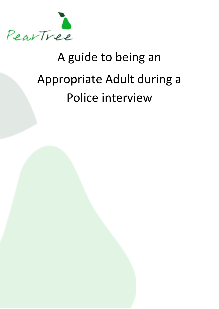

# A guide to being an Appropriate Adult during a Police interview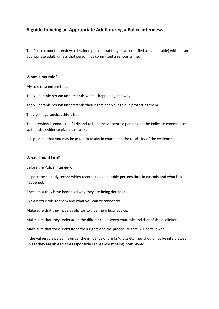# **A guide to being an Appropriate Adult during a Police interview.**

The Police cannot interview a detained person that they have identified as (vulnerable) without an appropriate adult, unless that person has committed a serious crime.

# **What is my role?**

My role is to ensure that:

The vulnerable person understands what is happening and why.

The vulnerable person understands their rights and your role in protecting them.

They get legal advice, this is free.

The interview is conducted fairly and to help the vulnerable person and the Police to communicate so that the evidence given is reliable.

It is possible that you may be asked to testify in court as to the reliability of the evidence.

#### **What should I do?**

Before the Police interview:

Inspect the custody record which records the vulnerable persons time in custody and what has happened.

Check that they have been told why they are being detained.

Explain your role to them and what you can or cannot do.

Make sure that they have a solicitor to give them legal advice.

Make sure that they understand the difference between your role and that of their solicitor.

Make sure that they understand their rights and the procedure that will be followed.

If the vulnerable person is under the influence of drinks/drugs etc they should not be interviewed unless they are able to give responsible replies whilst being interviewed.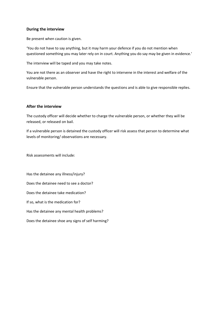# **During the interview**

Be present when caution is given.

'You do not have to say anything, but it may harm your defence if you do not mention when questioned something you may later rely on in court. Anything you do say may be given in evidence.'

The interview will be taped and you may take notes.

You are not there as an observer and have the right to intervene in the interest and welfare of the vulnerable person.

Ensure that the vulnerable person understands the questions and is able to give responsible replies.

# **After the interview**

The custody officer will decide whether to charge the vulnerable person, or whether they will be released, or released on bail.

If a vulnerable person is detained the custody officer will risk assess that person to determine what levels of monitoring/ observations are necessary.

Risk assessments will include:

Has the detainee any illness/injury? Does the detainee need to see a doctor? Does the detainee take medication? If so, what is the medication for? Has the detainee any mental health problems? Does the detainee shoe any signs of self harming?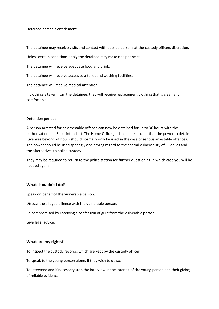Detained person's entitlement:

The detainee may receive visits and contact with outside persons at the custody officers discretion.

Unless certain conditions apply the detainee may make one phone call.

The detainee will receive adequate food and drink.

The detainee will receive access to a toilet and washing facilities.

The detainee will receive medical attention.

If clothing is taken from the detainee, they will receive replacement clothing that is clean and comfortable.

#### Detention period:

A person arrested for an arrestable offence can now be detained for up to 36 hours with the authorisation of a Superintendant. The Home Office guidance makes clear that the power to detain Juveniles beyond 24 hours should normally only be used in the case of serious arrestable offences. The power should be used sparingly and having regard to the special vulnerability of juveniles and the alternatives to police custody.

They may be required to return to the police station for further questioning in which case you will be needed again.

#### **What shouldn't I do?**

Speak on behalf of the vulnerable person.

Discuss the alleged offence with the vulnerable person.

Be compromised by receiving a confession of guilt from the vulnerable person.

Give legal advice.

#### **What are my rights?**

To inspect the custody records, which are kept by the custody officer.

To speak to the young person alone, if they wish to do so.

To intervene and if necessary stop the interview in the interest of the young person and their giving of reliable evidence.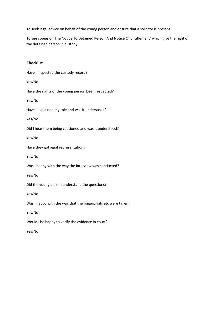To seek legal advice on behalf of the young person and ensure that a solicitor is present.

To see copies of 'The Notice To Detained Person And Notice Of Entitlement' which give the right of the detained person in custody.

# **Checklist**

Have I inspected the custody record? Yes/No Have the rights of the young person been respected? Yes/No Have I explained my role and was it understood? Yes/No Did I hear them being cautioned and was it understood? Yes/No Have they got legal representation? Yes/No Was I happy with the way the interview was conducted? Yes/No Did the young person understand the questions? Yes/No Was I happy with the way that the fingerprints etc were taken? Yes/No Would I be happy to verify the evidence in court? Yes/No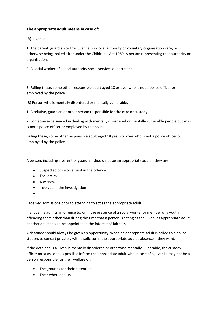# **The appropriate adult means in case of:**

(A) Juvenile

1. The parent, guardian or the juvenile is in local authority or voluntary organisation care, or is otherwise being looked after under the Children's Act 1989. A person representing that authority or organisation.

2. A social worker of a local authority social services department.

3. Failing these, some other responsible adult aged 18 or over who is not a police officer or employed by the police.

(B) Person who is mentally disordered or mentally vulnerable.

1. A relative, guardian or other person responsible for the care or custody.

2. Someone experienced in dealing with mentally disordered or mentally vulnerable people but who is not a police officer or employed by the police.

Failing these, some other responsible adult aged 18 years or over who is not a police officer or employed by the police.

A person, including a parent or guardian should not be an appropriate adult if they are:

- Suspected of involvement in the offence
- The victim
- A witness
- Involved in the investigation
- •

Received admissions prior to attending to act as the appropriate adult.

If a juvenile admits an offence to, or in the presence of a social worker or member of a youth offending team other than during the time that a person is acting as the juveniles appropriate adult another adult should be appointed in the interest of fairness.

A detainee should always be given an opportunity, when an appropriate adult is called to a police station, to consult privately with a solicitor in the appropriate adult's absence if they want.

If the detainee is a juvenile mentally disordered or otherwise mentally vulnerable, the custody officer must as soon as possible inform the appropriate adult who in case of a juvenile may not be a person responsible for their welfare of:

- The grounds for their detention
- Their whereabouts